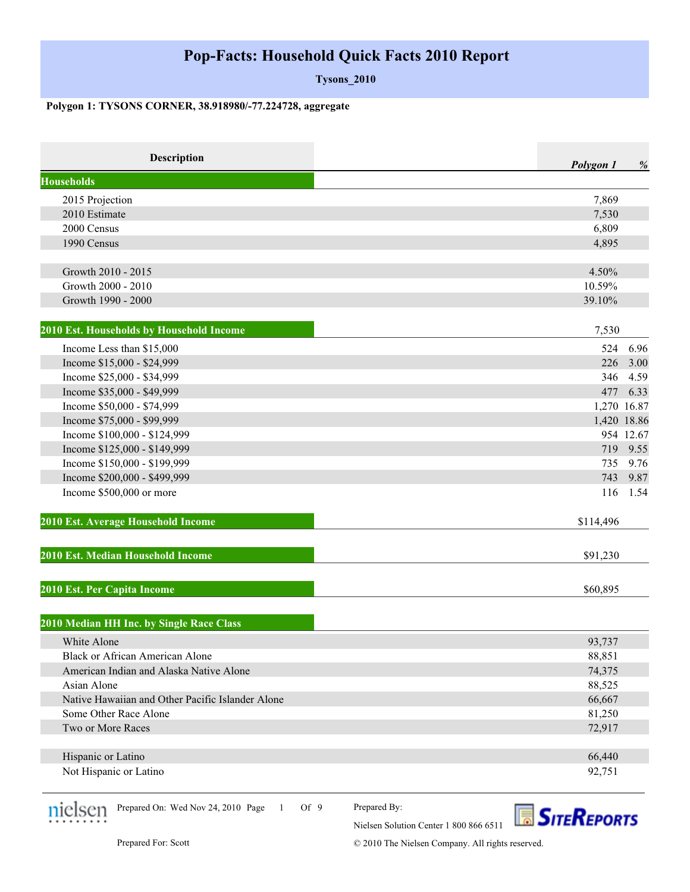## **Pop-Facts: Household Quick Facts 2010 Report**

**Tysons\_2010**

## **Polygon 1: TYSONS CORNER, 38.918980/-77.224728, aggregate**

| Description                                      | Polygon 1                                                                    | %           |
|--------------------------------------------------|------------------------------------------------------------------------------|-------------|
| <b>Households</b>                                |                                                                              |             |
| 2015 Projection                                  | 7,869                                                                        |             |
| 2010 Estimate                                    | 7,530                                                                        |             |
| 2000 Census                                      | 6,809                                                                        |             |
| 1990 Census                                      | 4,895                                                                        |             |
| Growth 2010 - 2015                               | 4.50%                                                                        |             |
| Growth 2000 - 2010                               | 10.59%                                                                       |             |
| Growth 1990 - 2000                               | 39.10%                                                                       |             |
| 2010 Est. Households by Household Income         | 7,530                                                                        |             |
| Income Less than \$15,000                        | 524                                                                          | 6.96        |
| Income \$15,000 - \$24,999                       | 226                                                                          | 3.00        |
| Income \$25,000 - \$34,999                       | 346                                                                          | 4.59        |
| Income \$35,000 - \$49,999                       | 477                                                                          | 6.33        |
| Income \$50,000 - \$74,999                       |                                                                              | 1,270 16.87 |
| Income \$75,000 - \$99,999                       |                                                                              | 1,420 18.86 |
| Income \$100,000 - \$124,999                     |                                                                              | 954 12.67   |
| Income \$125,000 - \$149,999                     | 719                                                                          | 9.55        |
| Income \$150,000 - \$199,999                     | 735                                                                          | 9.76        |
| Income \$200,000 - \$499,999                     | 743                                                                          | 9.87        |
| Income \$500,000 or more                         | 116                                                                          | 1.54        |
| 2010 Est. Average Household Income               | \$114,496                                                                    |             |
| 2010 Est. Median Household Income                | \$91,230                                                                     |             |
| 2010 Est. Per Capita Income                      | \$60,895                                                                     |             |
| 2010 Median HH Inc. by Single Race Class         |                                                                              |             |
| White Alone                                      | 93,737                                                                       |             |
| <b>Black or African American Alone</b>           | 88,851                                                                       |             |
| American Indian and Alaska Native Alone          | 74,375                                                                       |             |
| Asian Alone                                      | 88,525                                                                       |             |
| Native Hawaiian and Other Pacific Islander Alone | 66,667                                                                       |             |
| Some Other Race Alone                            | 81,250                                                                       |             |
| Two or More Races                                | 72,917                                                                       |             |
| Hispanic or Latino                               | 66,440                                                                       |             |
| Not Hispanic or Latino                           | 92,751                                                                       |             |
| Prepared On: Wed Nov 24, 2010 Page<br>Of 9<br>-1 | Prepared By:<br><b>SITEREPORTS</b><br>Nielsen Solution Center 1 800 866 6511 |             |

© 2010 The Nielsen Company. All rights reserved.